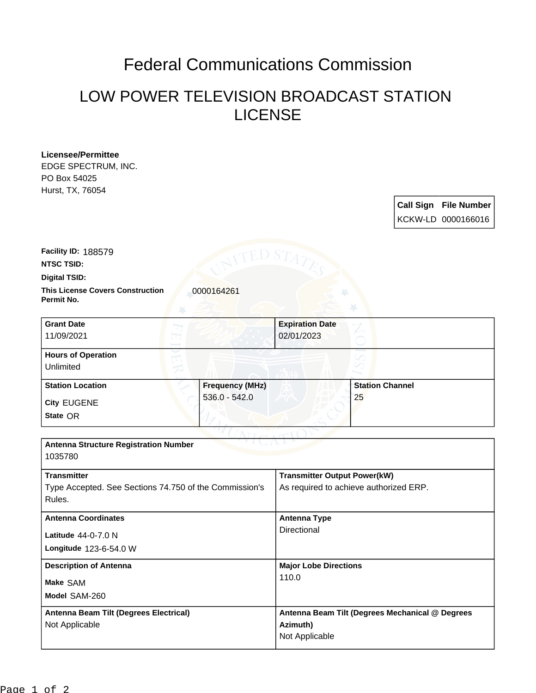## Federal Communications Commission

## LOW POWER TELEVISION BROADCAST STATION LICENSE

**Licensee/Permittee** EDGE SPECTRUM, INC. PO Box 54025 Hurst, TX, 76054

> **Call Sign File Number** KCKW-LD 0000166016

**Digital TSID: NTSC TSID: Facility ID:** 188579

**Permit No.**

**This License Covers Construction**  0000164261

| <b>Grant Date</b><br>11/09/2021        |                        | <b>Expiration Date</b><br>02/01/2023 |  |
|----------------------------------------|------------------------|--------------------------------------|--|
| <b>Hours of Operation</b><br>Unlimited |                        |                                      |  |
| <b>Station Location</b>                | <b>Frequency (MHz)</b> | <b>Station Channel</b>               |  |
| <b>City EUGENE</b><br>State OR         | $536.0 - 542.0$        | 25                                   |  |

| <b>Antenna Structure Registration Number</b><br>1035780                                |                                                                               |  |  |
|----------------------------------------------------------------------------------------|-------------------------------------------------------------------------------|--|--|
| <b>Transmitter</b><br>Type Accepted. See Sections 74.750 of the Commission's<br>Rules. | <b>Transmitter Output Power(kW)</b><br>As required to achieve authorized ERP. |  |  |
| <b>Antenna Coordinates</b><br>Latitude 44-0-7.0 N<br><b>Longitude 123-6-54.0 W</b>     | <b>Antenna Type</b><br>Directional                                            |  |  |
| <b>Description of Antenna</b><br>Make SAM<br>Model SAM-260                             | <b>Major Lobe Directions</b><br>110.0                                         |  |  |
| Antenna Beam Tilt (Degrees Electrical)<br>Not Applicable                               | Antenna Beam Tilt (Degrees Mechanical @ Degrees<br>Azimuth)<br>Not Applicable |  |  |